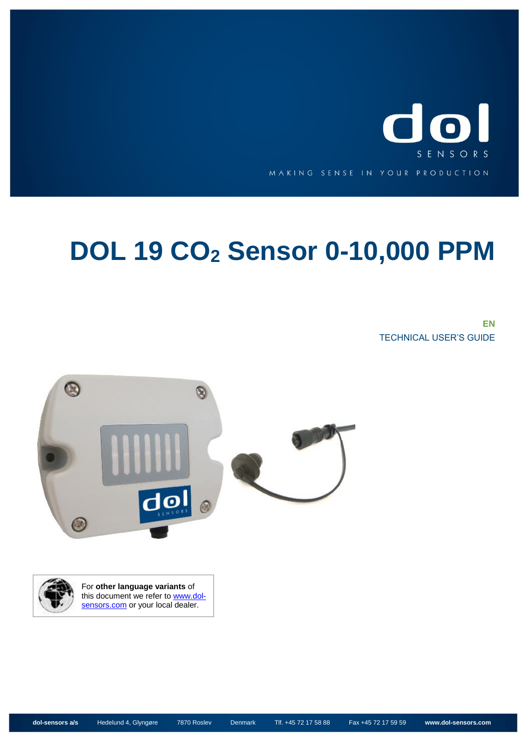

# **DOL 19 CO<sup>2</sup> Sensor 0-10,000 PPM**

**EN**  TECHNICAL USER'S GUIDE





For **other language variants** of this document we refer to **www.dol**[sensors.com](http://www.dol-sensors.com/EN/Details/Pages/Download_climate_sensors.aspx) or your local dealer.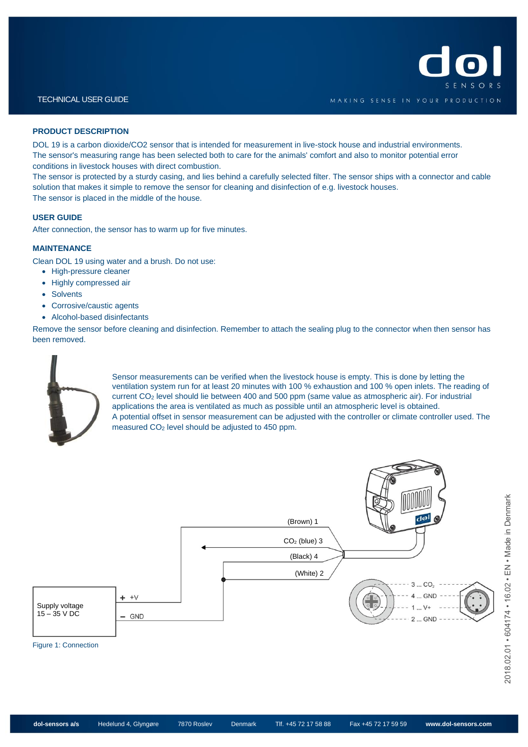

#### **PRODUCT DESCRIPTION**

DOL 19 is a carbon dioxide/CO2 sensor that is intended for measurement in live-stock house and industrial environments. The sensor's measuring range has been selected both to care for the animals' comfort and also to monitor potential error conditions in livestock houses with direct combustion.

The sensor is protected by a sturdy casing, and lies behind a carefully selected filter. The sensor ships with a connector and cable solution that makes it simple to remove the sensor for cleaning and disinfection of e.g. livestock houses. The sensor is placed in the middle of the house.

#### **USER GUIDE**

After connection, the sensor has to warm up for five minutes.

#### **MAINTENANCE**

Clean DOL 19 using water and a brush. Do not use:

- High-pressure cleaner
- Highly compressed air
- Solvents
- Corrosive/caustic agents
- Alcohol-based disinfectants

Remove the sensor before cleaning and disinfection. Remember to attach the sealing plug to the connector when then sensor has been removed.



Sensor measurements can be verified when the livestock house is empty. This is done by letting the ventilation system run for at least 20 minutes with 100 % exhaustion and 100 % open inlets. The reading of current CO<sup>2</sup> level should lie between 400 and 500 ppm (same value as atmospheric air). For industrial applications the area is ventilated as much as possible until an atmospheric level is obtained. A potential offset in sensor measurement can be adjusted with the controller or climate controller used. The measured CO<sup>2</sup> level should be adjusted to 450 ppm.

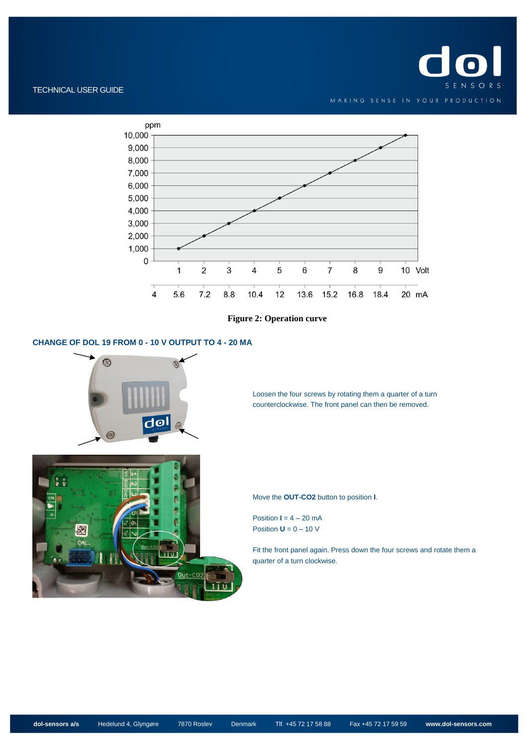

### TECHNICAL USER GUIDE



**Figure 2: Operation curve**

## **CHANGE OF DOL 19 FROM 0 - 10 V OUTPUT TO 4 - 20 MA**



Loosen the four screws by rotating them a quarter of a turn counterclockwise. The front panel can then be removed.

Move the **OUT-CO2** button to position **I**.

Position  $I = 4 - 20$  mA Position  $U = 0 - 10 V$ 

Fit the front panel again. Press down the four screws and rotate them a quarter of a turn clockwise.